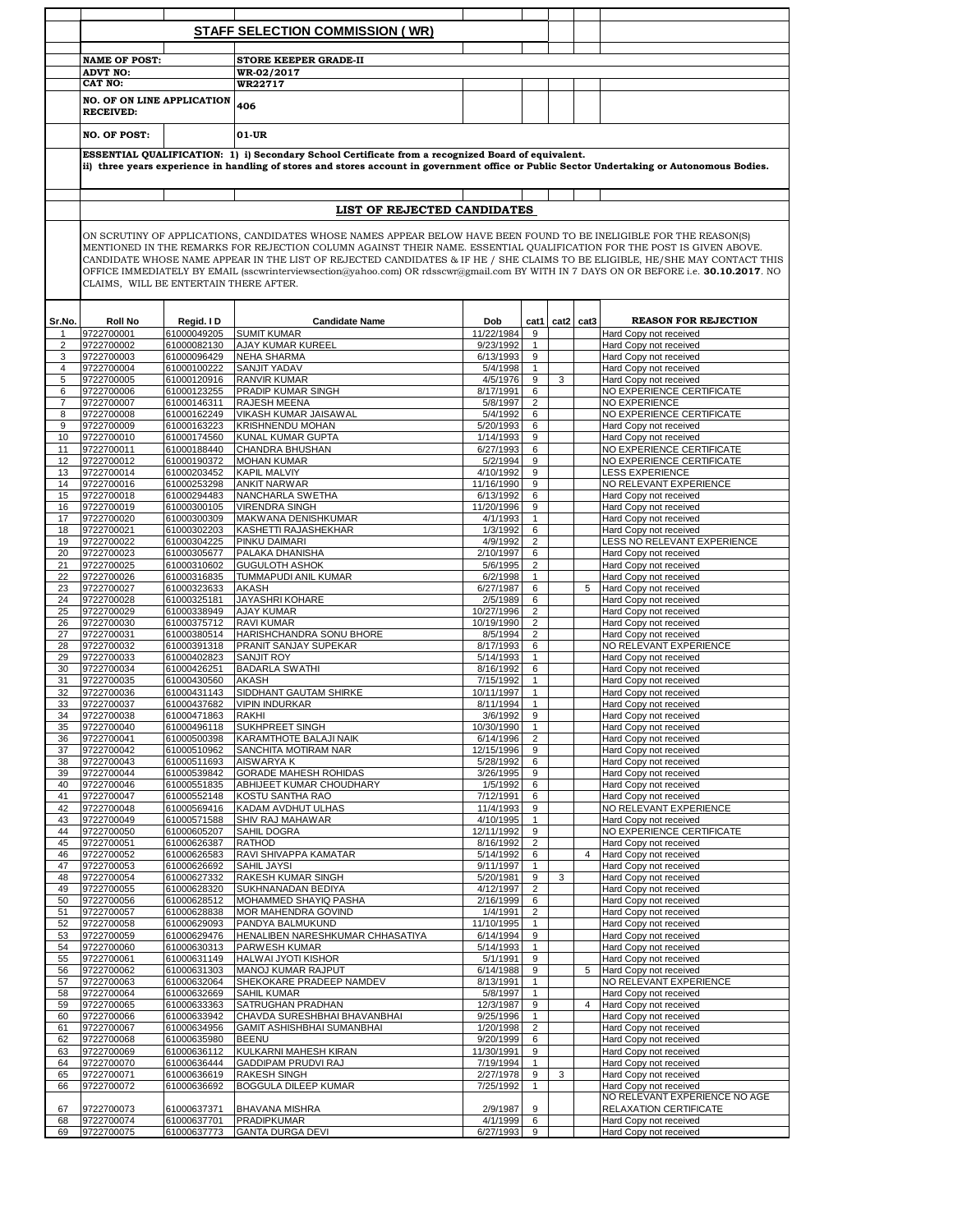|                |                          |                                        | <b>STAFF SELECTION COMMISSION (WR)</b>                                                                                                      |                         |                     |      |                |                                                  |
|----------------|--------------------------|----------------------------------------|---------------------------------------------------------------------------------------------------------------------------------------------|-------------------------|---------------------|------|----------------|--------------------------------------------------|
|                |                          |                                        |                                                                                                                                             |                         |                     |      |                |                                                  |
|                | <b>NAME OF POST:</b>     |                                        | <b>STORE KEEPER GRADE-II</b>                                                                                                                |                         |                     |      |                |                                                  |
|                | <b>ADVT NO:</b>          |                                        | <b>WR-02/2017</b>                                                                                                                           |                         |                     |      |                |                                                  |
|                | <b>CAT NO:</b>           |                                        | WR22717                                                                                                                                     |                         |                     |      |                |                                                  |
|                | <b>RECEIVED:</b>         | <b>NO. OF ON LINE APPLICATION</b>      | 406                                                                                                                                         |                         |                     |      |                |                                                  |
|                | <b>NO. OF POST:</b>      |                                        | 01-UR                                                                                                                                       |                         |                     |      |                |                                                  |
|                |                          |                                        | ESSENTIAL QUALIFICATION: 1) i) Secondary School Certificate from a recognized Board of equivalent.                                          |                         |                     |      |                |                                                  |
|                |                          |                                        | ii) three years experience in handling of stores and stores account in government office or Public Sector Undertaking or Autonomous Bodies. |                         |                     |      |                |                                                  |
|                |                          |                                        | LIST OF REJECTED CANDIDATES                                                                                                                 |                         |                     |      |                |                                                  |
|                |                          |                                        | ON SCRUTINY OF APPLICATIONS, CANDIDATES WHOSE NAMES APPEAR BELOW HAVE BEEN FOUND TO BE INELIGIBLE FOR THE REASON(S)                         |                         |                     |      |                |                                                  |
|                |                          |                                        | MENTIONED IN THE REMARKS FOR REJECTION COLUMN AGAINST THEIR NAME. ESSENTIAL QUALIFICATION FOR THE POST IS GIVEN ABOVE.                      |                         |                     |      |                |                                                  |
|                |                          |                                        | CANDIDATE WHOSE NAME APPEAR IN THE LIST OF REJECTED CANDIDATES & IF HE / SHE CLAIMS TO BE ELIGIBLE, HE/SHE MAY CONTACT THIS                 |                         |                     |      |                |                                                  |
|                |                          | CLAIMS, WILL BE ENTERTAIN THERE AFTER. | OFFICE IMMEDIATELY BY EMAIL (sscwrinterviewsection@yahoo.com) OR rdsscwr@gmail.com BY WITH IN 7 DAYS ON OR BEFORE i.e. 30.10.2017. NO       |                         |                     |      |                |                                                  |
|                |                          |                                        |                                                                                                                                             |                         |                     |      |                |                                                  |
|                |                          |                                        |                                                                                                                                             |                         |                     |      |                |                                                  |
| Sr.No.         | <b>Roll No</b>           | Regid. I D                             | <b>Candidate Name</b>                                                                                                                       | Dob                     | cat1                | cat2 | cat3           | <b>REASON FOR REJECTION</b>                      |
|                | 9722700001               | 61000049205                            | <b>SUMIT KUMAR</b>                                                                                                                          | 11/22/1984              | $\boldsymbol{9}$    |      |                | Hard Copy not received                           |
| 2<br>3         | 9722700002<br>9722700003 | 61000082130<br>61000096429             | AJAY KUMAR KUREEL<br>NEHA SHARMA                                                                                                            | 9/23/1992<br>6/13/1993  | $\mathbf{1}$<br>9   |      |                | Hard Copy not received<br>Hard Copy not received |
| 4              | 9722700004               | 61000100222                            | <b>SANJIT YADAV</b>                                                                                                                         | 5/4/1998                | $\mathbf{1}$        |      |                | Hard Copy not received                           |
| 5              | 9722700005               | 61000120916                            | RANVIR KUMAR                                                                                                                                | 4/5/1976                | 9                   | 3    |                | Hard Copy not received                           |
| 6              | 9722700006               | 61000123255                            | PRADIP KUMAR SINGH                                                                                                                          | 8/17/1991               | 6                   |      |                | NO EXPERIENCE CERTIFICATE                        |
| $\overline{7}$ | 9722700007               | 61000146311                            | RAJESH MEENA                                                                                                                                | 5/8/1997                | $\overline{2}$      |      |                | NO EXPERIENCE                                    |
| 8              | 9722700008               | 61000162249                            | VIKASH KUMAR JAISAWAL                                                                                                                       | 5/4/1992                | 6                   |      |                | NO EXPERIENCE CERTIFICATE                        |
| 9              | 9722700009               | 61000163223                            | KRISHNENDU MOHAN<br>KUNAL KUMAR GUPTA                                                                                                       | 5/20/1993               | 6                   |      |                | Hard Copy not received<br>Hard Copy not received |
| 10<br>11       | 9722700010<br>9722700011 | 61000174560<br>61000188440             | CHANDRA BHUSHAN                                                                                                                             | 1/14/1993<br>6/27/1993  | 9<br>6              |      |                | NO EXPERIENCE CERTIFICATE                        |
| 12             | 9722700012               | 61000190372                            | <b>MOHAN KUMAR</b>                                                                                                                          | 5/2/1994                | 9                   |      |                | NO EXPERIENCE CERTIFICATE                        |
| 13             | 9722700014               | 61000203452                            | <b>KAPIL MALVIY</b>                                                                                                                         | 4/10/1992               | 9                   |      |                | <b>LESS EXPERIENCE</b>                           |
| 14             | 9722700016               | 61000253298                            | <b>ANKIT NARWAR</b>                                                                                                                         | 11/16/1990              | 9                   |      |                | NO RELEVANT EXPERIENCE                           |
| 15             | 9722700018               | 61000294483                            | NANCHARLA SWETHA                                                                                                                            | 6/13/1992               | 6                   |      |                | Hard Copy not received                           |
| 16             | 9722700019               | 61000300105                            | <b>VIRENDRA SINGH</b>                                                                                                                       | 11/20/1996              | 9                   |      |                | Hard Copy not received                           |
| 17<br>18       | 9722700020<br>9722700021 | 61000300309<br>61000302203             | MAKWANA DENISHKUMAR<br>KASHETTI RAJASHEKHAR                                                                                                 | 4/1/1993<br>1/3/1992    | $\mathbf{1}$<br>6   |      |                | Hard Copy not received<br>Hard Copy not received |
| 19             | 9722700022               | 61000304225                            | PINKU DAIMARI                                                                                                                               | 4/9/1992                | $\overline{2}$      |      |                | LESS NO RELEVANT EXPERIENCE                      |
| 20             | 9722700023               | 61000305677                            | PALAKA DHANISHA                                                                                                                             | 2/10/1997               | 6                   |      |                | Hard Copy not received                           |
| 21             | 9722700025               | 61000310602                            | <b>GUGULOTH ASHOK</b>                                                                                                                       | 5/6/1995                | $\overline{2}$      |      |                | Hard Copy not received                           |
| 22             | 9722700026               | 61000316835                            | TUMMAPUDI ANIL KUMAR                                                                                                                        | 6/2/1998                | $\mathbf{1}$        |      |                | Hard Copy not received                           |
| 23<br>24       | 9722700027<br>9722700028 | 61000323633<br>61000325181             | AKASH<br><b>JAYASHRI KOHARE</b>                                                                                                             | 6/27/1987<br>2/5/1989   | 6<br>6              |      | 5              | Hard Copy not received<br>Hard Copy not received |
| 25             | 9722700029               | 61000338949                            | <b>AJAY KUMAR</b>                                                                                                                           | 10/27/1996              | $\overline{2}$      |      |                | Hard Copy not received                           |
| 26             | 9722700030               | 61000375712                            | <b>RAVI KUMAR</b>                                                                                                                           | 10/19/1990              | $\overline{2}$      |      |                | Hard Copy not received                           |
| 27             | 9722700031               | 61000380514                            | HARISHCHANDRA SONU BHORE                                                                                                                    | 8/5/1994                | $\overline{2}$      |      |                | Hard Copy not received                           |
| 28             | 9722700032               | 61000391318                            | PRANIT SANJAY SUPEKAR                                                                                                                       | 8/17/1993               | 6                   |      |                | NO RELEVANT EXPERIENCE                           |
| 29<br>30       | 9722700033<br>9722700034 | 61000402823                            | <b>SANJIT ROY</b><br><b>BADARLA SWATHI</b>                                                                                                  | 5/14/1993               | 1<br>6              |      |                | Hard Copy not received<br>Hard Copy not received |
| 31             | 9722700035               | 61000426251<br>61000430560             | <b>AKASH</b>                                                                                                                                | 8/16/1992<br>7/15/1992  | $\mathbf{1}$        |      |                | Hard Copy not received                           |
| 32             | 9722700036               | 61000431143                            | SIDDHANT GAUTAM SHIRKE                                                                                                                      | 10/11/1997              | $\mathbf{1}$        |      |                | Hard Copy not received                           |
| 33             | 9722700037               | 61000437682                            | <b>VIPIN INDURKAR</b>                                                                                                                       | 8/11/1994               |                     |      |                | Hard Copy not received                           |
| 34             | 9722700038               | 61000471863                            | <b>RAKHI</b>                                                                                                                                | 3/6/1992                | 9                   |      |                | Hard Copy not received                           |
| 35             | 9722700040               | 61000496118                            | SUKHPREET SINGH                                                                                                                             | 10/30/1990              | $\mathbf{1}$        |      |                | Hard Copy not received                           |
| 36<br>37       | 9722700041<br>9722700042 | 61000500398<br>61000510962             | KARAMTHOTE BALAJI NAIK<br>SANCHITA MOTIRAM NAR                                                                                              | 6/14/1996<br>12/15/1996 | $\overline{2}$<br>9 |      |                | Hard Copy not received<br>Hard Copy not received |
| 38             | 9722700043               | 61000511693                            | AISWARYA K                                                                                                                                  | 5/28/1992               | 6                   |      |                | Hard Copy not received                           |
| 39             | 9722700044               | 61000539842                            | <b>GORADE MAHESH ROHIDAS</b>                                                                                                                | 3/26/1995               | 9                   |      |                | Hard Copy not received                           |
| 40             | 9722700046               | 61000551835                            | ABHIJEET KUMAR CHOUDHARY                                                                                                                    | 1/5/1992                | 6                   |      |                | Hard Copy not received                           |
| 41             | 9722700047               | 61000552148                            | KOSTU SANTHA RAO                                                                                                                            | 7/12/1991               | 6                   |      |                | Hard Copy not received                           |
| 42<br>43       | 9722700048<br>9722700049 | 61000569416<br>61000571588             | KADAM AVDHUT ULHAS<br>SHIV RAJ MAHAWAR                                                                                                      | 11/4/1993<br>4/10/1995  | 9<br>$\mathbf{1}$   |      |                | NO RELEVANT EXPERIENCE<br>Hard Copy not received |
| 44             | 9722700050               | 61000605207                            | SAHIL DOGRA                                                                                                                                 | 12/11/1992              | 9                   |      |                | NO EXPERIENCE CERTIFICATE                        |
| 45             | 9722700051               | 61000626387                            | RATHOD                                                                                                                                      | 8/16/1992               | $\overline{2}$      |      |                | Hard Copy not received                           |
| 46             | 9722700052               | 61000626583                            | RAVI SHIVAPPA KAMATAR                                                                                                                       | 5/14/1992               | 6                   |      | 4              | Hard Copy not received                           |
| 47             | 9722700053               | 61000626692                            | SAHIL JAYSI                                                                                                                                 | 9/11/1997               | $\mathbf{1}$        |      |                | Hard Copy not received                           |
| 48             | 9722700054               | 61000627332                            | RAKESH KUMAR SINGH<br>SUKHNANADAN BEDIYA                                                                                                    | 5/20/1981               | 9<br>$\overline{2}$ | 3    |                | Hard Copy not received                           |
| 49<br>50       | 9722700055<br>9722700056 | 61000628320<br>61000628512             | MOHAMMED SHAYIQ PASHA                                                                                                                       | 4/12/1997<br>2/16/1999  | 6                   |      |                | Hard Copy not received<br>Hard Copy not received |
| 51             | 9722700057               | 61000628838                            | MOR MAHENDRA GOVIND                                                                                                                         | 1/4/1991                | $\overline{2}$      |      |                | Hard Copy not received                           |
| 52             | 9722700058               | 61000629093                            | PANDYA BALMUKUND                                                                                                                            | 11/10/1995              | $\mathbf{1}$        |      |                | Hard Copy not received                           |
| 53             | 9722700059               | 61000629476                            | HENALIBEN NARESHKUMAR CHHASATIYA                                                                                                            | 6/14/1994               | 9                   |      |                | Hard Copy not received                           |
| 54             | 9722700060               | 61000630313                            | PARWESH KUMAR                                                                                                                               | 5/14/1993               | 1                   |      |                | Hard Copy not received                           |
| 55<br>56       | 9722700061<br>9722700062 | 61000631149<br>61000631303             | HALWAI JYOTI KISHOR<br>MANOJ KUMAR RAJPUT                                                                                                   | 5/1/1991<br>6/14/1988   | 9<br>9              |      | 5              | Hard Copy not received<br>Hard Copy not received |
| 57             | 9722700063               | 61000632064                            | SHEKOKARE PRADEEP NAMDEV                                                                                                                    | 8/13/1991               | $\mathbf{1}$        |      |                | NO RELEVANT EXPERIENCE                           |
| 58             | 9722700064               | 61000632669                            | <b>SAHIL KUMAR</b>                                                                                                                          | 5/8/1997                | $\mathbf{1}$        |      |                | Hard Copy not received                           |
| 59             | 9722700065               | 61000633363                            | SATRUGHAN PRADHAN                                                                                                                           | 12/3/1987               | 9                   |      | $\overline{4}$ | Hard Copy not received                           |
| 60             | 9722700066               | 61000633942                            | CHAVDA SURESHBHAI BHAVANBHAI                                                                                                                | 9/25/1996               | 1                   |      |                | Hard Copy not received                           |
| 61<br>62       | 9722700067<br>9722700068 | 61000634956<br>61000635980             | GAMIT ASHISHBHAI SUMANBHAI<br><b>BEENU</b>                                                                                                  | 1/20/1998<br>9/20/1999  | $\overline{2}$<br>6 |      |                | Hard Copy not received<br>Hard Copy not received |
| 63             | 9722700069               | 61000636112                            | KULKARNI MAHESH KIRAN                                                                                                                       | 11/30/1991              | 9                   |      |                | Hard Copy not received                           |
| 64             | 9722700070               | 61000636444                            | GADDIPAM PRUDVI RAJ                                                                                                                         | 7/19/1994               | $\mathbf{1}$        |      |                | Hard Copy not received                           |
| 65             | 9722700071               | 61000636619                            | <b>RAKESH SINGH</b>                                                                                                                         | 2/27/1978               | 9                   | 3    |                | Hard Copy not received                           |
| 66             | 9722700072               | 61000636692                            | <b>BOGGULA DILEEP KUMAR</b>                                                                                                                 | 7/25/1992               | 1                   |      |                | Hard Copy not received                           |
|                |                          |                                        |                                                                                                                                             |                         |                     |      |                | NO RELEVANT EXPERIENCE NO AGE                    |
| 67<br>68       | 9722700073<br>9722700074 | 61000637371<br>61000637701             | BHAVANA MISHRA<br>PRADIPKUMAR                                                                                                               | 2/9/1987<br>4/1/1999    | 9<br>6              |      |                | RELAXATION CERTIFICATE<br>Hard Copy not received |
| 69             | 9722700075               |                                        | 61000637773 GANTA DURGA DEVI                                                                                                                | 6/27/1993               | 9                   |      |                | Hard Copy not received                           |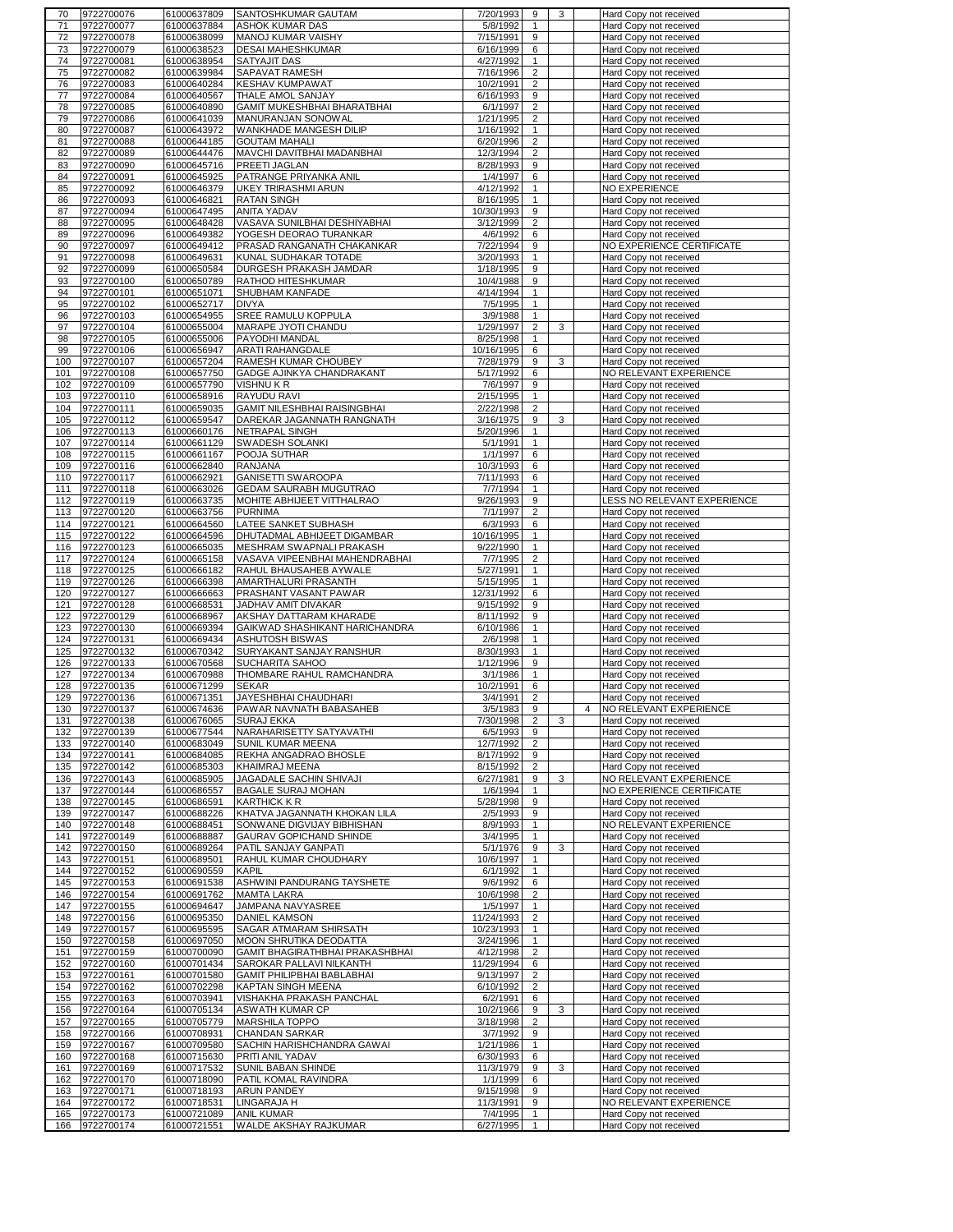| 70  | 9722700076 | 61000637809 | SANTOSHKUMAR GAUTAM              | 7/20/1993  | 9              | 3 |              | Hard Copy not received      |
|-----|------------|-------------|----------------------------------|------------|----------------|---|--------------|-----------------------------|
| 71  | 9722700077 | 61000637884 | ASHOK KUMAR DAS                  | 5/8/1992   | $\mathbf{1}$   |   |              | Hard Copy not received      |
| 72  | 9722700078 | 61000638099 | MANOJ KUMAR VAISHY               | 7/15/1991  | 9              |   |              | Hard Copy not received      |
| 73  | 9722700079 | 61000638523 | <b>DESAI MAHESHKUMAR</b>         | 6/16/1999  | 6              |   |              | Hard Copy not received      |
| 74  | 9722700081 | 61000638954 | <b>SATYAJIT DAS</b>              | 4/27/1992  | $\mathbf{1}$   |   |              | Hard Copy not received      |
| 75  | 9722700082 | 61000639984 | SAPAVAT RAMESH                   | 7/16/1996  | $\overline{2}$ |   |              | Hard Copy not received      |
| 76  | 9722700083 | 61000640284 | <b>KESHAV KUMPAWAT</b>           | 10/2/1991  | $\overline{c}$ |   |              | Hard Copy not received      |
|     |            |             |                                  |            |                |   |              |                             |
| 77  | 9722700084 | 61000640567 | THALE AMOL SANJAY                | 6/16/1993  | 9              |   |              | Hard Copy not received      |
| 78  | 9722700085 | 61000640890 | GAMIT MUKESHBHAI BHARATBHAI      | 6/1/1997   | $\overline{c}$ |   |              | Hard Copy not received      |
| 79  | 9722700086 | 61000641039 | MANURANJAN SONOWAL               | 1/21/1995  | $\overline{c}$ |   |              | Hard Copy not received      |
| 80  | 9722700087 | 61000643972 | WANKHADE MANGESH DILIP           | 1/16/1992  | $\mathbf{1}$   |   |              | Hard Copy not received      |
| 81  | 9722700088 | 61000644185 | <b>GOUTAM MAHALI</b>             | 6/20/1996  | $\overline{2}$ |   |              | Hard Copy not received      |
| 82  | 9722700089 | 61000644476 | MAVCHI DAVITBHAI MADANBHAI       | 12/3/1994  | $\overline{c}$ |   |              | Hard Copy not received      |
| 83  | 9722700090 | 61000645716 | <b>PREETI JAGLAN</b>             | 8/28/1993  | 9              |   |              | Hard Copy not received      |
| 84  | 9722700091 | 61000645925 | PATRANGE PRIYANKA ANIL           | 1/4/1997   | 6              |   |              | Hard Copy not received      |
|     | 9722700092 | 61000646379 | <b>UKEY TRIRASHMI ARUN</b>       | 4/12/1992  | $\mathbf{1}$   |   |              |                             |
| 85  |            |             |                                  |            |                |   |              | NO EXPERIENCE               |
| 86  | 9722700093 | 61000646821 | <b>RATAN SINGH</b>               | 8/16/1995  | $\mathbf{1}$   |   |              | Hard Copy not received      |
| 87  | 9722700094 | 61000647495 | <b>ANITA YADAV</b>               | 10/30/1993 | 9              |   |              | Hard Copy not received      |
| 88  | 9722700095 | 61000648428 | VASAVA SUNILBHAI DESHIYABHAI     | 3/12/1999  | $\overline{c}$ |   |              | Hard Copy not received      |
| 89  | 9722700096 | 61000649382 | YOGESH DEORAO TURANKAR           | 4/6/1992   | 6              |   |              | Hard Copy not received      |
| 90  | 9722700097 | 61000649412 | PRASAD RANGANATH CHAKANKAR       | 7/22/1994  | 9              |   |              | NO EXPERIENCE CERTIFICATE   |
| 91  | 9722700098 | 61000649631 | KUNAL SUDHAKAR TOTADE            | 3/20/1993  | $\mathbf{1}$   |   |              | Hard Copy not received      |
| 92  | 9722700099 | 61000650584 | <b>DURGESH PRAKASH JAMDAR</b>    | 1/18/1995  | 9              |   |              | Hard Copy not received      |
| 93  | 9722700100 | 61000650789 | <b>RATHOD HITESHKUMAR</b>        | 10/4/1988  | 9              |   |              | Hard Copy not received      |
|     |            |             |                                  |            |                |   |              |                             |
| 94  | 9722700101 | 61000651071 | <b>SHUBHAM KANFADE</b>           | 4/14/1994  | $\mathbf{1}$   |   |              | Hard Copy not received      |
| 95  | 9722700102 | 61000652717 | <b>DIVYA</b>                     | 7/5/1995   | $\mathbf{1}$   |   |              | Hard Copy not received      |
| 96  | 9722700103 | 61000654955 | <b>SREE RAMULU KOPPULA</b>       | 3/9/1988   | $\mathbf{1}$   |   |              | Hard Copy not received      |
| 97  | 9722700104 | 61000655004 | MARAPE JYOTI CHANDU              | 1/29/1997  | $\overline{2}$ | 3 |              | Hard Copy not received      |
| 98  | 9722700105 | 61000655006 | <b>PAYODHI MANDAL</b>            | 8/25/1998  | 1              |   |              | Hard Copy not received      |
| 99  | 9722700106 | 61000656947 | <b>ARATI RAHANGDALE</b>          | 10/16/1995 | 6              |   |              | Hard Copy not received      |
| 100 | 9722700107 | 61000657204 | <b>RAMESH KUMAR CHOUBEY</b>      | 7/28/1979  | 9              | 3 |              | Hard Copy not received      |
| 101 | 9722700108 | 61000657750 | <b>GADGE AJINKYA CHANDRAKANT</b> | 5/17/1992  | 6              |   |              | NO RELEVANT EXPERIENCE      |
|     |            |             |                                  |            |                |   |              |                             |
| 102 | 9722700109 | 61000657790 | VISHNU KR                        | 7/6/1997   | 9              |   |              | Hard Copy not received      |
| 103 | 9722700110 | 61000658916 | <b>RAYUDU RAVI</b>               | 2/15/1995  | $\mathbf{1}$   |   |              | Hard Copy not received      |
| 104 | 9722700111 | 61000659035 | GAMIT NILESHBHAI RAISINGBHAI     | 2/22/1998  | $\overline{2}$ |   |              | Hard Copy not received      |
| 105 | 9722700112 | 61000659547 | DAREKAR JAGANNATH RANGNATH       | 3/16/1975  | 9              | 3 |              | Hard Copy not received      |
| 106 | 9722700113 | 61000660176 | NETRAPAL SINGH                   | 5/20/1996  | $\mathbf{1}$   |   |              | Hard Copy not received      |
| 107 | 9722700114 | 61000661129 | SWADESH SOLANKI                  | 5/1/1991   | $\mathbf{1}$   |   |              | Hard Copy not received      |
| 108 | 9722700115 | 61000661167 | POOJA SUTHAR                     | 1/1/1997   | 6              |   |              | Hard Copy not received      |
| 109 | 9722700116 | 61000662840 | <b>RANJANA</b>                   | 10/3/1993  |                |   |              | Hard Copy not received      |
|     |            |             |                                  |            | 6              |   |              |                             |
| 110 | 9722700117 | 61000662921 | GANISETTI SWAROOPA               | 7/11/1993  | 6              |   |              | Hard Copy not received      |
| 111 | 9722700118 | 61000663026 | <b>GEDAM SAURABH MUGUTRAO</b>    | 7/7/1994   | $\mathbf{1}$   |   |              | Hard Copy not received      |
| 112 | 9722700119 | 61000663735 | MOHITE ABHIJEET VITTHALRAO       | 9/26/1993  | 9              |   |              | LESS NO RELEVANT EXPERIENCE |
| 113 | 9722700120 | 61000663756 | PURNIMA                          | 7/1/1997   | $\overline{c}$ |   |              | Hard Copy not received      |
| 114 | 9722700121 | 61000664560 | LATEE SANKET SUBHASH             | 6/3/1993   | 6              |   |              | Hard Copy not received      |
| 115 | 9722700122 | 61000664596 | DHUTADMAL ABHIJEET DIGAMBAR      | 10/16/1995 | $\mathbf{1}$   |   |              | Hard Copy not received      |
| 116 | 9722700123 | 61000665035 | MESHRAM SWAPNALI PRAKASH         | 9/22/1990  | $\mathbf{1}$   |   |              | Hard Copy not received      |
|     |            |             |                                  |            |                |   |              |                             |
| 117 | 9722700124 | 61000665158 | VASAVA VIPEENBHAI MAHENDRABHAI   | 7/7/1995   | $\overline{2}$ |   |              | Hard Copy not received      |
| 118 | 9722700125 | 61000666182 | RAHUL BHAUSAHEB AYWALE           | 5/27/1991  | $\mathbf{1}$   |   |              | Hard Copy not received      |
| 119 | 9722700126 | 61000666398 | AMARTHALURI PRASANTH             | 5/15/1995  | 1              |   |              | Hard Copy not received      |
| 120 | 9722700127 | 61000666663 | <b>PRASHANT VASANT PAWAR</b>     | 12/31/1992 | 6              |   |              | Hard Copy not received      |
| 121 | 9722700128 | 61000668531 | JADHAV AMIT DIVAKAR              | 9/15/1992  | 9              |   |              | Hard Copy not received      |
| 122 | 9722700129 | 61000668967 | AKSHAY DATTARAM KHARADE          | 8/11/1992  | 9              |   |              | Hard Copy not received      |
| 123 | 9722700130 | 61000669394 | GAIKWAD SHASHIKANT HARICHANDRA   | 6/10/1986  | $\mathbf{1}$   |   |              | Hard Copy not received      |
| 124 | 9722700131 | 61000669434 | <b>ASHUTOSH BISWAS</b>           | 2/6/1998   | $\mathbf{1}$   |   |              | Hard Copy not received      |
|     |            |             |                                  |            |                |   |              |                             |
| 125 | 9722700132 | 61000670342 | SURYAKANT SANJAY RANSHUR         | 8/30/1993  | $\mathbf{1}$   |   |              | Hard Copy not received      |
| 126 | 9722700133 | 61000670568 | <b>SUCHARITA SAHOO</b>           | 1/12/1996  | 9              |   |              | Hard Copy not received      |
| 127 | 9722700134 | 61000670988 | THOMBARE RAHUL RAMCHANDRA        | 3/1/1986   | $\mathbf{1}$   |   |              | Hard Copy not received      |
| 128 | 9722700135 | 61000671299 | <b>SEKAR</b>                     | 10/2/1991  | 6              |   |              | Hard Copy not received      |
| 129 | 9722700136 | 61000671351 | JAYESHBHAI CHAUDHARI             | 3/4/1991   | $\overline{2}$ |   |              | Hard Copy not received      |
| 130 | 9722700137 | 61000674636 | PAWAR NAVNATH BABASAHEB          | 3/5/1983   | 9              |   | $\mathbf{A}$ | NO RELEVANT EXPERIENCE      |
| 131 | 9722700138 | 61000676065 | <b>SURAJ EKKA</b>                | 7/30/1998  | $\overline{2}$ | 3 |              | Hard Copy not received      |
| 132 | 9722700139 | 61000677544 | NARAHARISETTY SATYAVATHI         | 6/5/1993   | 9              |   |              | Hard Copy not received      |
|     | 9722700140 | 61000683049 | SUNIL KUMAR MEENA                | 12/7/1992  | $\overline{2}$ |   |              | Hard Copy not received      |
| 133 |            |             |                                  |            |                |   |              |                             |
| 134 | 9722700141 | 61000684085 | REKHA ANGADRAO BHOSLE            | 8/17/1992  | 9              |   |              | Hard Copy not received      |
| 135 | 9722700142 | 61000685303 | KHAIMRAJ MEENA                   | 8/15/1992  | $\overline{2}$ |   |              | Hard Copy not received      |
| 136 | 9722700143 | 61000685905 | JAGADALE SACHIN SHIVAJI          | 6/27/1981  | 9              | 3 |              | NO RELEVANT EXPERIENCE      |
| 137 | 9722700144 | 61000686557 | <b>BAGALE SURAJ MOHAN</b>        | 1/6/1994   | $\mathbf{1}$   |   |              | NO EXPERIENCE CERTIFICATE   |
| 138 | 9722700145 | 61000686591 | KARTHICK K R                     | 5/28/1998  | 9              |   |              | Hard Copy not received      |
| 139 | 9722700147 | 61000688226 | KHATVA JAGANNATH KHOKAN LILA     | 2/5/1993   | 9              |   |              | Hard Copy not received      |
| 140 | 9722700148 | 61000688451 | SONWANE DIGVIJAY BIBHISHAN       | 8/9/1993   | $\mathbf{1}$   |   |              | NO RELEVANT EXPERIENCE      |
| 141 | 9722700149 | 61000688887 | GAURAV GOPICHAND SHINDE          | 3/4/1995   | $\mathbf{1}$   |   |              | Hard Copy not received      |
| 142 | 9722700150 | 61000689264 | PATIL SANJAY GANPATI             | 5/1/1976   | 9              | 3 |              | Hard Copy not received      |
| 143 | 9722700151 | 61000689501 | RAHUL KUMAR CHOUDHARY            | 10/6/1997  | $\mathbf{1}$   |   |              | Hard Copy not received      |
|     |            |             |                                  |            |                |   |              |                             |
| 144 | 9722700152 | 61000690559 | KAPIL                            | 6/1/1992   | $\mathbf{1}$   |   |              | Hard Copy not received      |
| 145 | 9722700153 | 61000691538 | ASHWINI PANDURANG TAYSHETE       | 9/6/1992   | 6              |   |              | Hard Copy not received      |
| 146 | 9722700154 | 61000691762 | <b>MAMTA LAKRA</b>               | 10/6/1998  | $\overline{2}$ |   |              | Hard Copy not received      |
| 147 | 9722700155 | 61000694647 | JAMPANA NAVYASREE                | 1/5/1997   | $\mathbf{1}$   |   |              | Hard Copy not received      |
| 148 | 9722700156 | 61000695350 | <b>DANIEL KAMSON</b>             | 11/24/1993 | $\overline{2}$ |   |              | Hard Copy not received      |
| 149 | 9722700157 | 61000695595 | SAGAR ATMARAM SHIRSATH           | 10/23/1993 | $\mathbf{1}$   |   |              | Hard Copy not received      |
| 150 | 9722700158 | 61000697050 | MOON SHRUTIKA DEODATTA           | 3/24/1996  | $\mathbf{1}$   |   |              | Hard Copy not received      |
| 151 | 9722700159 | 61000700090 | GAMIT BHAGIRATHBHAI PRAKASHBHAI  | 4/12/1998  | $\overline{2}$ |   |              | Hard Copy not received      |
| 152 | 9722700160 | 61000701434 | SAROKAR PALLAVI NILKANTH         | 11/29/1994 | 6              |   |              | Hard Copy not received      |
|     |            |             |                                  |            |                |   |              |                             |
| 153 | 9722700161 | 61000701580 | GAMIT PHILIPBHAI BABLABHAI       | 9/13/1997  | $\overline{2}$ |   |              | Hard Copy not received      |
| 154 | 9722700162 | 61000702298 | <b>KAPTAN SINGH MEENA</b>        | 6/10/1992  | $\overline{2}$ |   |              | Hard Copy not received      |
| 155 | 9722700163 | 61000703941 | VISHAKHA PRAKASH PANCHAL         | 6/2/1991   | 6              |   |              | Hard Copy not received      |
| 156 | 9722700164 | 61000705134 | ASWATH KUMAR CP                  | 10/2/1966  | 9              | 3 |              | Hard Copy not received      |
| 157 | 9722700165 | 61000705779 | <b>MARSHILA TOPPO</b>            | 3/18/1998  | $\overline{c}$ |   |              | Hard Copy not received      |
| 158 | 9722700166 | 61000708931 | CHANDAN SARKAR                   | 3/7/1992   | 9              |   |              | Hard Copy not received      |
| 159 | 9722700167 | 61000709580 | SACHIN HARISHCHANDRA GAWAI       | 1/21/1986  | $\mathbf{1}$   |   |              | Hard Copy not received      |
| 160 | 9722700168 | 61000715630 | PRITI ANIL YADAV                 | 6/30/1993  | 6              |   |              | Hard Copy not received      |
|     |            |             |                                  |            |                |   |              |                             |
| 161 | 9722700169 | 61000717532 | SUNIL BABAN SHINDE               | 11/3/1979  | 9              | 3 |              | Hard Copy not received      |
| 162 | 9722700170 | 61000718090 | PATIL KOMAL RAVINDRA             | 1/1/1999   | 6              |   |              | Hard Copy not received      |
| 163 | 9722700171 | 61000718193 | <b>ARUN PANDEY</b>               | 9/15/1998  | 9              |   |              | Hard Copy not received      |
| 164 | 9722700172 | 61000718531 | LINGARAJA H                      | 11/3/1991  | 9              |   |              | NO RELEVANT EXPERIENCE      |
| 165 | 9722700173 | 61000721089 | ANIL KUMAR                       | 7/4/1995   | $\mathbf{1}$   |   |              | Hard Copy not received      |
| 166 | 9722700174 | 61000721551 | WALDE AKSHAY RAJKUMAR            | 6/27/1995  | $\mathbf{1}$   |   |              | Hard Copy not received      |
|     |            |             |                                  |            |                |   |              |                             |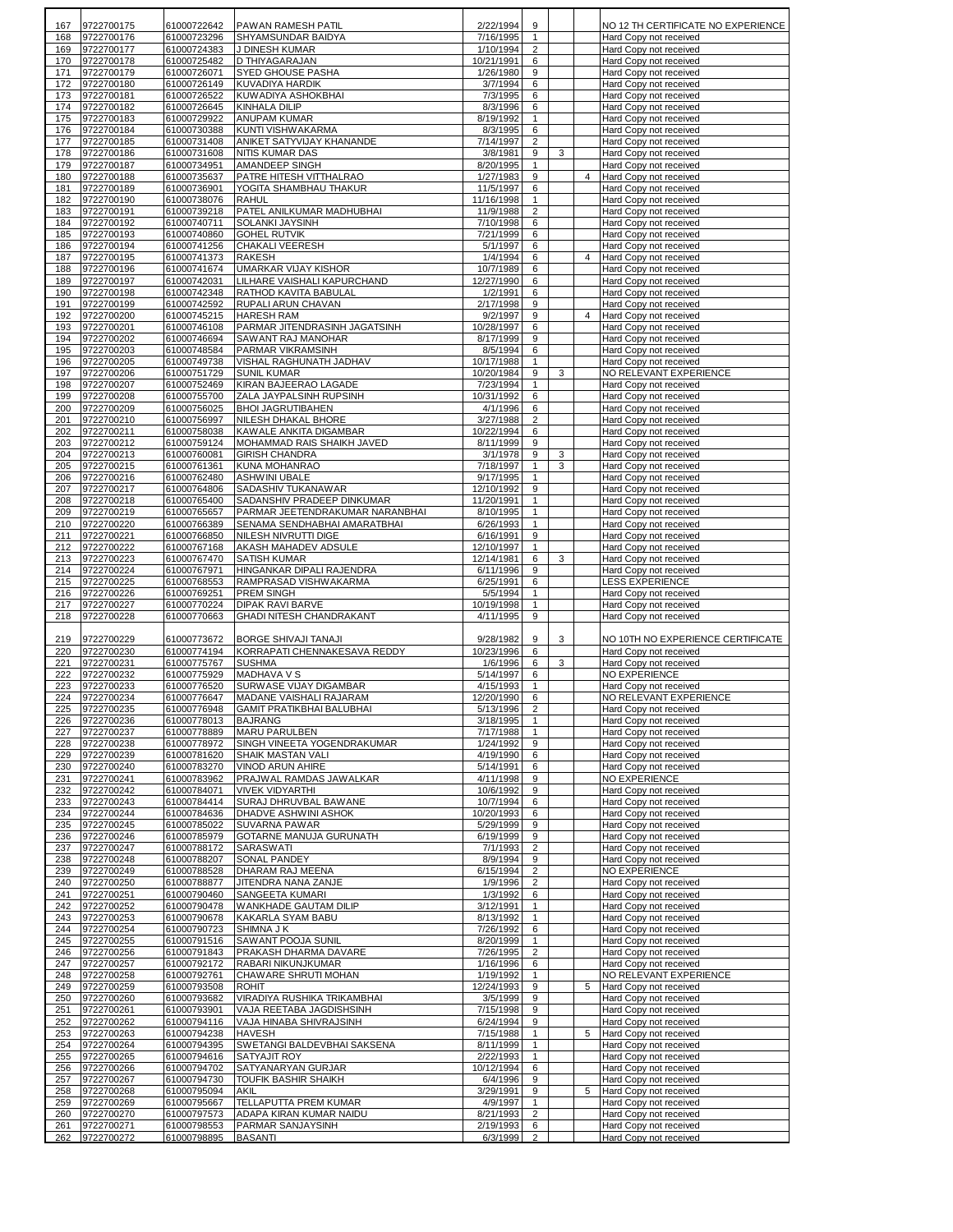| 167        | 9722700175               | 61000722642                | PAWAN RAMESH PATIL                                              | 2/22/1994               | 9                            |        |                | NO 12 TH CERTIFICATE NO EXPERIENCE               |
|------------|--------------------------|----------------------------|-----------------------------------------------------------------|-------------------------|------------------------------|--------|----------------|--------------------------------------------------|
| 168        | 9722700176               | 61000723296                | SHYAMSUNDAR BAIDYA                                              | 7/16/1995               | $\mathbf{1}$                 |        |                | Hard Copy not received                           |
| 169<br>170 | 9722700177<br>9722700178 | 61000724383<br>61000725482 | J DINESH KUMAR<br>D THIYAGARAJAN                                | 1/10/1994<br>10/21/1991 | 2<br>6                       |        |                | Hard Copy not received<br>Hard Copy not received |
| 171        | 9722700179               | 61000726071                | <b>SYED GHOUSE PASHA</b>                                        | 1/26/1980               | 9                            |        |                | Hard Copy not received                           |
| 172        | 9722700180               | 61000726149                | KUVADIYA HARDIK                                                 | 3/7/1994                | 6                            |        |                | Hard Copy not received                           |
| 173        | 9722700181               | 61000726522                | KUWADIYA ASHOKBHAI                                              | 7/3/1995                | 6                            |        |                | Hard Copy not received                           |
| 174<br>175 | 9722700182<br>9722700183 | 61000726645<br>61000729922 | KINHALA DILIP<br><b>ANUPAM KUMAR</b>                            | 8/3/1996<br>8/19/1992   | 6<br>$\mathbf{1}$            |        |                | Hard Copy not received<br>Hard Copy not received |
| 176        | 9722700184               | 61000730388                | KUNTI VISHWAKARMA                                               | 8/3/1995                | 6                            |        |                | Hard Copy not received                           |
| 177        | 9722700185               | 61000731408                | ANIKET SATYVIJAY KHANANDE                                       | 7/14/1997               | $\overline{2}$               |        |                | Hard Copy not received                           |
| 178        | 9722700186               | 61000731608                | NITIS KUMAR DAS                                                 | 3/8/1981                | 9                            | 3      |                | Hard Copy not received                           |
| 179<br>180 | 9722700187<br>9722700188 | 61000734951<br>61000735637 | AMANDEEP SINGH<br>PATRE HITESH VITTHALRAO                       | 8/20/1995<br>1/27/1983  | $\mathbf{1}$<br>9            |        | $\overline{4}$ | Hard Copy not received<br>Hard Copy not received |
| 181        | 9722700189               | 61000736901                | YOGITA SHAMBHAU THAKUR                                          | 11/5/1997               | 6                            |        |                | Hard Copy not received                           |
| 182        | 9722700190               | 61000738076                | RAHUL                                                           | 11/16/1998              | $\mathbf{1}$                 |        |                | Hard Copy not received                           |
| 183        | 9722700191               | 61000739218                | PATEL ANILKUMAR MADHUBHAI                                       | 11/9/1988               | $\overline{2}$               |        |                | Hard Copy not received                           |
| 184<br>185 | 9722700192<br>9722700193 | 61000740711<br>61000740860 | SOLANKI JAYSINH<br><b>GOHEL RUTVIK</b>                          | 7/10/1998<br>7/21/1999  | 6<br>6                       |        |                | Hard Copy not received<br>Hard Copy not received |
| 186        | 9722700194               | 61000741256                | CHAKALI VEERESH                                                 | 5/1/1997                | 6                            |        |                | Hard Copy not received                           |
| 187        | 9722700195               | 61000741373                | RAKESH                                                          | 1/4/1994                | 6                            |        | $\overline{4}$ | Hard Copy not received                           |
| 188        | 9722700196               | 61000741674                | UMARKAR VIJAY KISHOR                                            | 10/7/1989               | 6                            |        |                | Hard Copy not received                           |
| 189<br>190 | 9722700197<br>9722700198 | 61000742031<br>61000742348 | LILHARE VAISHALI KAPURCHAND<br>RATHOD KAVITA BABULAL            | 12/27/1990<br>1/2/1991  | 6<br>6                       |        |                | Hard Copy not received<br>Hard Copy not received |
| 191        | 9722700199               | 61000742592                | RUPALI ARUN CHAVAN                                              | 2/17/1998               | 9                            |        |                | Hard Copy not received                           |
| 192        | 9722700200               | 61000745215                | <b>HARESH RAM</b>                                               | 9/2/1997                | 9                            |        | $\overline{4}$ | Hard Copy not received                           |
| 193        | 9722700201               | 61000746108                | PARMAR JITENDRASINH JAGATSINH                                   | 10/28/1997              | 6                            |        |                | Hard Copy not received                           |
| 194<br>195 | 9722700202<br>9722700203 | 61000746694<br>61000748584 | <b>SAWANT RAJ MANOHAR</b><br><b>PARMAR VIKRAMSINH</b>           | 8/17/1999<br>8/5/1994   | 9<br>6                       |        |                | Hard Copy not received<br>Hard Copy not received |
| 196        | 9722700205               | 61000749738                | VISHAL RAGHUNATH JADHAV                                         | 10/17/1988              | $\mathbf{1}$                 |        |                | Hard Copy not received                           |
| 197        | 9722700206               | 61000751729                | <b>SUNIL KUMAR</b>                                              | 10/20/1984              | 9                            | 3      |                | NO RELEVANT EXPERIENCE                           |
| 198        | 9722700207               | 61000752469                | KIRAN BAJEERAO LAGADE                                           | 7/23/1994               | $\mathbf{1}$                 |        |                | Hard Copy not received                           |
| 199<br>200 | 9722700208<br>9722700209 | 61000755700<br>61000756025 | <b>ZALA JAYPALSINH RUPSINH</b><br><b>BHOI JAGRUTIBAHEN</b>      | 10/31/1992<br>4/1/1996  | 6<br>6                       |        |                | Hard Copy not received<br>Hard Copy not received |
| 201        | 9722700210               | 61000756997                | NILESH DHAKAL BHORE                                             | 3/27/1988               | 2                            |        |                | Hard Copy not received                           |
| 202        | 9722700211               | 61000758038                | KAWALE ANKITA DIGAMBAR                                          | 10/22/1994              | 6                            |        |                | Hard Copy not received                           |
| 203        | 9722700212               | 61000759124                | MOHAMMAD RAIS SHAIKH JAVED                                      | 8/11/1999               | 9                            |        |                | Hard Copy not received                           |
| 204<br>205 | 9722700213<br>9722700215 | 61000760081<br>61000761361 | <b>GIRISH CHANDRA</b><br>KUNA MOHANRAO                          | 3/1/1978<br>7/18/1997   | 9<br>$\mathbf{1}$            | 3<br>3 |                | Hard Copy not received<br>Hard Copy not received |
| 206        | 9722700216               | 61000762480                | <b>ASHWINI UBALE</b>                                            | 9/17/1995               | $\mathbf{1}$                 |        |                | Hard Copy not received                           |
| 207        | 9722700217               | 61000764806                | <b>SADASHIV TUKANAWAR</b>                                       | 12/10/1992              | 9                            |        |                | Hard Copy not received                           |
| 208        | 9722700218               | 61000765400                | SADANSHIV PRADEEP DINKUMAR                                      | 11/20/1991              | $\mathbf{1}$                 |        |                | Hard Copy not received                           |
| 209<br>210 | 9722700219<br>9722700220 | 61000765657<br>61000766389 | PARMAR JEETENDRAKUMAR NARANBHAI<br>SENAMA SENDHABHAI AMARATBHAI | 8/10/1995<br>6/26/1993  | $\mathbf{1}$<br>$\mathbf{1}$ |        |                | Hard Copy not received<br>Hard Copy not received |
| 211        | 9722700221               | 61000766850                | NILESH NIVRUTTI DIGE                                            | 6/16/1991               | 9                            |        |                | Hard Copy not received                           |
| 212        | 9722700222               | 61000767168                | <b>AKASH MAHADEV ADSULE</b>                                     | 12/10/1997              | $\mathbf{1}$                 |        |                | Hard Copy not received                           |
| 213        | 9722700223               | 61000767470                | SATISH KUMAR                                                    | 12/14/1981              | 6                            | 3      |                | Hard Copy not received                           |
| 214<br>215 | 9722700224<br>9722700225 | 61000767971<br>61000768553 | HINGANKAR DIPALI RAJENDRA<br>RAMPRASAD VISHWAKARMA              | 6/11/1996<br>6/25/1991  | 9<br>6                       |        |                | Hard Copy not received<br><b>LESS EXPERIENCE</b> |
| 216        | 9722700226               | 61000769251                | <b>PREM SINGH</b>                                               | 5/5/1994                | $\mathbf{1}$                 |        |                | Hard Copy not received                           |
| 217        | 9722700227               | 61000770224                | <b>DIPAK RAVI BARVE</b>                                         | 10/19/1998              | $\mathbf{1}$                 |        |                | Hard Copy not received                           |
| 218        | 9722700228               | 61000770663                | <b>GHADI NITESH CHANDRAKANT</b>                                 | 4/11/1995               | 9                            |        |                | Hard Copy not received                           |
| 219        | 9722700229               | 61000773672                | <b>BORGE SHIVAJI TANAJI</b>                                     | 9/28/1982               | 9                            | 3      |                | NO 10TH NO EXPERIENCE CERTIFICATE                |
| 220        | 9722700230               | 61000774194                | KORRAPATI CHENNAKESAVA REDDY                                    | 10/23/1996              | 6                            |        |                | Hard Copy not received                           |
| 221        | 9722700231               | 61000775767                | SUSHMA                                                          | 1/6/1996                | 6                            | 3      |                | Hard Copy not received                           |
| 222        | 9722700232               | 61000775929                | <b>MADHAVA V S</b>                                              | 5/14/1997               | 6                            |        |                | <b>NO EXPERIENCE</b>                             |
| 223<br>224 | 9722700233<br>9722700234 | 61000776520<br>61000776647 | SURWASE VIJAY DIGAMBAR<br>MADANE VAISHALI RAJARAM               | 4/15/1993<br>12/20/1990 | $\mathbf{1}$<br>6            |        |                | Hard Copy not received<br>NO RELEVANT EXPERIENCE |
| 225        | 9722700235               | 61000776948                | GAMIT PRATIKBHAI BALUBHAI                                       | 5/13/1996               | $\overline{2}$               |        |                | Hard Copy not received                           |
| 226        | 9722700236               | 61000778013                | <b>BAJRANG</b>                                                  | 3/18/1995               | $\mathbf{1}$                 |        |                | Hard Copy not received                           |
| 227        | 9722700237               | 61000778889                | MARU PARULBEN                                                   | 7/17/1988               | $\mathbf{1}$                 |        |                | Hard Copy not received                           |
| 228<br>229 | 9722700238<br>9722700239 | 61000778972<br>61000781620 | SINGH VINEETA YOGENDRAKUMAR<br>SHAIK MASTAN VALI                | 1/24/1992<br>4/19/1990  | 9<br>6                       |        |                | Hard Copy not received<br>Hard Copy not received |
| 230        | 9722700240               | 61000783270                | VINOD ARUN AHIRE                                                | 5/14/1991               | 6                            |        |                | Hard Copy not received                           |
| 231        | 9722700241               | 61000783962                | PRAJWAL RAMDAS JAWALKAR                                         | 4/11/1998               | 9                            |        |                | NO EXPERIENCE                                    |
| 232        | 9722700242               | 61000784071                | <b>VIVEK VIDYARTHI</b>                                          | 10/6/1992               | 9                            |        |                | Hard Copy not received                           |
| 233<br>234 | 9722700243<br>9722700244 | 61000784414<br>61000784636 | SURAJ DHRUVBAL BAWANE<br><b>DHADVE ASHWINI ASHOK</b>            | 10/7/1994<br>10/20/1993 | 6<br>6                       |        |                | Hard Copy not received<br>Hard Copy not received |
| 235        | 9722700245               | 61000785022                | <b>SUVARNA PAWAR</b>                                            | 5/29/1999               | 9                            |        |                | Hard Copy not received                           |
| 236        | 9722700246               | 61000785979                | GOTARNE MANUJA GURUNATH                                         | 6/19/1999               | 9                            |        |                | Hard Copy not received                           |
| 237        | 9722700247               | 61000788172                | <b>SARASWATI</b>                                                | 7/1/1993                | $\overline{2}$               |        |                | Hard Copy not received                           |
| 238<br>239 | 9722700248<br>9722700249 | 61000788207<br>61000788528 | SONAL PANDEY<br>DHARAM RAJ MEENA                                | 8/9/1994<br>6/15/1994   | 9<br>2                       |        |                | Hard Copy not received<br>NO EXPERIENCE          |
| 240        | 9722700250               | 61000788877                | JITENDRA NANA ZANJE                                             | 1/9/1996                | $\overline{c}$               |        |                | Hard Copy not received                           |
| 241        | 9722700251               | 61000790460                | SANGEETA KUMARI                                                 | 1/3/1992                | 6                            |        |                | Hard Copy not received                           |
| 242        | 9722700252               | 61000790478<br>61000790678 | WANKHADE GAUTAM DILIP<br>KAKARLA SYAM BABU                      | 3/12/1991<br>8/13/1992  | $\mathbf{1}$<br>$\mathbf{1}$ |        |                | Hard Copy not received<br>Hard Copy not received |
| 243<br>244 | 9722700253<br>9722700254 | 61000790723                | SHIMNA J K                                                      | 7/26/1992               | 6                            |        |                | Hard Copy not received                           |
| 245        | 9722700255               | 61000791516                | SAWANT POOJA SUNIL                                              | 8/20/1999               | $\mathbf{1}$                 |        |                | Hard Copy not received                           |
| 246        | 9722700256               | 61000791843                | PRAKASH DHARMA DAVARE                                           | 7/26/1995               | $\overline{c}$               |        |                | Hard Copy not received                           |
| 247<br>248 | 9722700257<br>9722700258 | 61000792172<br>61000792761 | RABARI NIKUNJKUMAR<br>CHAWARE SHRUTI MOHAN                      | 1/16/1996<br>1/19/1992  | 6<br>$\mathbf{1}$            |        |                | Hard Copy not received<br>NO RELEVANT EXPERIENCE |
| 249        | 9722700259               | 61000793508                | <b>ROHIT</b>                                                    | 12/24/1993              | 9                            |        | 5              | Hard Copy not received                           |
| 250        | 9722700260               | 61000793682                | VIRADIYA RUSHIKA TRIKAMBHAI                                     | 3/5/1999                | 9                            |        |                | Hard Copy not received                           |
| 251        | 9722700261               | 61000793901                | VAJA REETABA JAGDISHSINH                                        | 7/15/1998               | 9                            |        |                | Hard Copy not received                           |
| 252<br>253 | 9722700262<br>9722700263 | 61000794116<br>61000794238 | VAJA HINABA SHIVRAJSINH<br><b>HAVESH</b>                        | 6/24/1994<br>7/15/1988  | 9<br>$\mathbf{1}$            |        | 5              | Hard Copy not received<br>Hard Copy not received |
| 254        | 9722700264               | 61000794395                | SWETANGI BALDEVBHAI SAKSENA                                     | 8/11/1999               | $\mathbf{1}$                 |        |                | Hard Copy not received                           |
| 255        | 9722700265               | 61000794616                | <b>SATYAJIT ROY</b>                                             | 2/22/1993               | $\mathbf{1}$                 |        |                | Hard Copy not received                           |
| 256        | 9722700266               | 61000794702                | SATYANARYAN GURJAR                                              | 10/12/1994              | 6                            |        |                | Hard Copy not received                           |
| 257<br>258 | 9722700267<br>9722700268 | 61000794730<br>61000795094 | <b>TOUFIK BASHIR SHAIKH</b><br>AKIL                             | 6/4/1996<br>3/29/1991   | 9<br>9                       |        | 5              | Hard Copy not received<br>Hard Copy not received |
| 259        | 9722700269               | 61000795667                | <b>TELLAPUTTA PREM KUMAR</b>                                    | 4/9/1997                | $\mathbf{1}$                 |        |                | Hard Copy not received                           |
| 260        | 9722700270               | 61000797573                | ADAPA KIRAN KUMAR NAIDU                                         | 8/21/1993               | $\overline{c}$               |        |                | Hard Copy not received                           |
| 261        | 9722700271               | 61000798553                | PARMAR SANJAYSINH                                               | 2/19/1993               | 6                            |        |                | Hard Copy not received                           |
| 262        | 9722700272               | 61000798895                | <b>BASANTI</b>                                                  | 6/3/1999                | $\overline{2}$               |        |                | Hard Copy not received                           |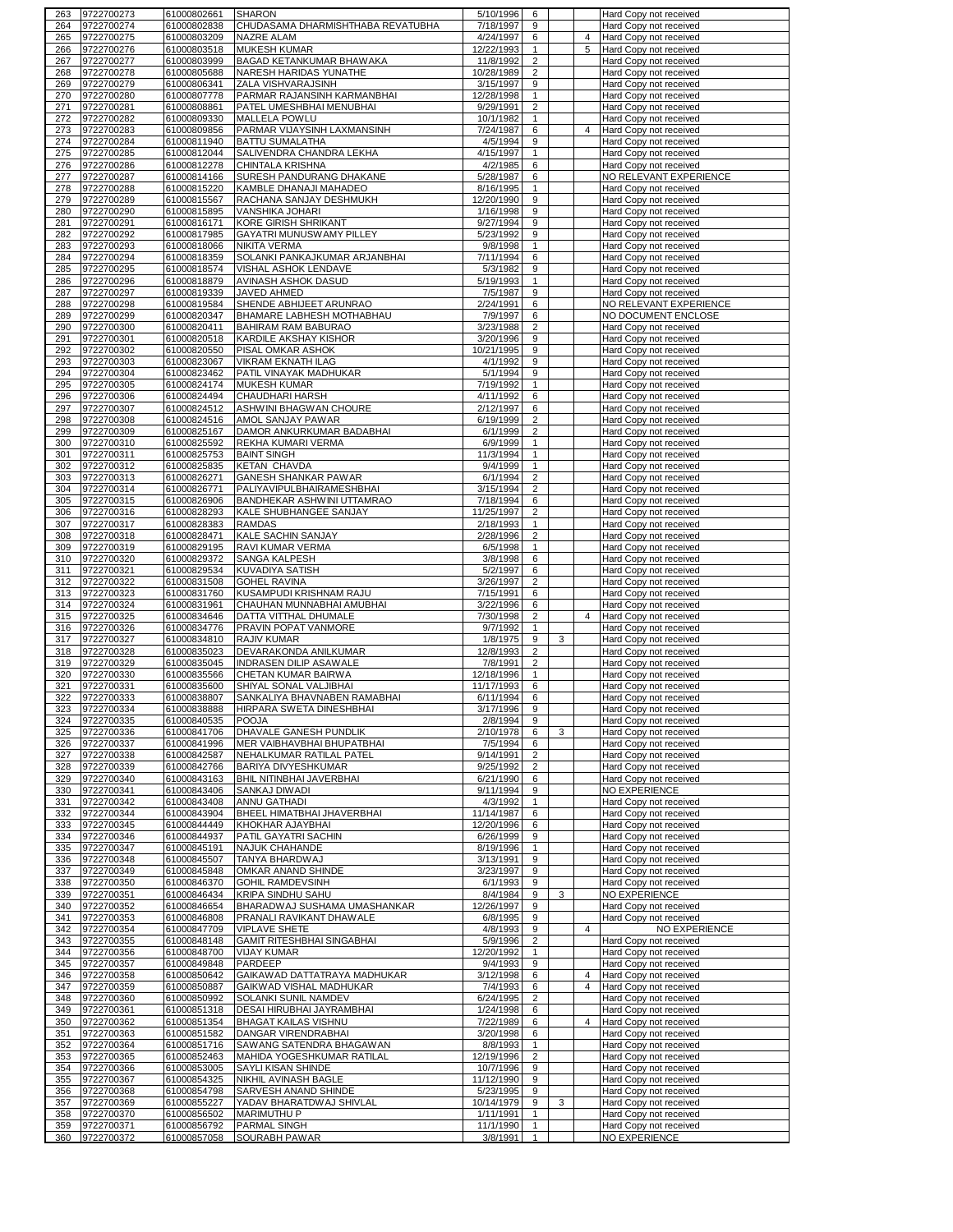| 263        | 9722700273               | 61000802661                | <b>SHARON</b>                                            | 5/10/1996<br>6                               |                | Hard Copy not received                           |
|------------|--------------------------|----------------------------|----------------------------------------------------------|----------------------------------------------|----------------|--------------------------------------------------|
| 264        | 9722700274               | 61000802838                | CHUDASAMA DHARMISHTHABA REVATUBHA                        | 7/18/1997<br>9                               |                | Hard Copy not received                           |
| 265        | 9722700275               | 61000803209                | <b>NAZRE ALAM</b>                                        | 4/24/1997<br>6                               | 4              | Hard Copy not received                           |
| 266        | 9722700276               | 61000803518                | <b>MUKESH KUMAR</b>                                      | 12/22/1993<br>$\mathbf{1}$                   | 5              | Hard Copy not received                           |
| 267        | 9722700277               | 61000803999                | BAGAD KETANKUMAR BHAWAKA                                 | $\overline{2}$<br>11/8/1992                  |                | Hard Copy not received                           |
| 268        | 9722700278               | 61000805688                | NARESH HARIDAS YUNATHE                                   | 10/28/1989<br>2                              |                | Hard Copy not received                           |
| 269<br>270 | 9722700279<br>9722700280 | 61000806341<br>61000807778 | ZALA VISHVARAJSINH<br>PARMAR RAJANSINH KARMANBHAI        | 3/15/1997<br>9<br>12/28/1998<br>$\mathbf{1}$ |                | Hard Copy not received<br>Hard Copy not received |
| 271        | 9722700281               | 61000808861                | PATEL UMESHBHAI MENUBHAI                                 | $\overline{2}$<br>9/29/1991                  |                | Hard Copy not received                           |
| 272        | 9722700282               | 61000809330                | MALLELA POWLU                                            | 10/1/1982<br>$\mathbf{1}$                    |                | Hard Copy not received                           |
| 273        | 9722700283               | 61000809856                | PARMAR VIJAYSINH LAXMANSINH                              | 7/24/1987<br>6                               | 4              | Hard Copy not received                           |
| 274        | 9722700284               | 61000811940                | <b>BATTU SUMALATHA</b>                                   | 4/5/1994<br>9                                |                | Hard Copy not received                           |
| 275        | 9722700285               | 61000812044                | SALIVENDRA CHANDRA LEKHA                                 | 4/15/1997<br>$\mathbf{1}$                    |                | Hard Copy not received                           |
| 276        | 9722700286               | 61000812278                | CHINTALA KRISHNA                                         | 4/2/1985<br>6                                |                | Hard Copy not received                           |
| 277        | 9722700287               | 61000814166                | SURESH PANDURANG DHAKANE                                 | 5/28/1987<br>6                               |                | NO RELEVANT EXPERIENCE                           |
| 278        | 9722700288               | 61000815220                | KAMBLE DHANAJI MAHADEO                                   | 8/16/1995<br>1                               |                | Hard Copy not received                           |
| 279        | 9722700289               | 61000815567                | RACHANA SANJAY DESHMUKH                                  | 9<br>12/20/1990                              |                | Hard Copy not received                           |
| 280        | 9722700290               | 61000815895                | VANSHIKA JOHARI                                          | 1/16/1998<br>9                               |                | Hard Copy not received                           |
| 281        | 9722700291               | 61000816171                | KORE GIRISH SHRIKANT                                     | 9/27/1994<br>9                               |                | Hard Copy not received                           |
| 282        | 9722700292               | 61000817985                | GAYATRI MUNUSWAMY PILLEY                                 | 5/23/1992<br>9                               |                | Hard Copy not received                           |
| 283        | 9722700293               | 61000818066                | <b>NIKITA VERMA</b>                                      | $\mathbf{1}$<br>9/8/1998                     |                | Hard Copy not received                           |
| 284        | 9722700294<br>9722700295 | 61000818359<br>61000818574 | SOLANKI PANKAJKUMAR ARJANBHAI<br>VISHAL ASHOK LENDAVE    | 7/11/1994<br>6<br>5/3/1982<br>9              |                | Hard Copy not received<br>Hard Copy not received |
| 285<br>286 | 9722700296               | 61000818879                | AVINASH ASHOK DASUD                                      | 5/19/1993<br>1                               |                | Hard Copy not received                           |
| 287        | 9722700297               | 61000819339                | JAVED AHMED                                              | 7/5/1987<br>9                                |                | Hard Copy not received                           |
| 288        | 9722700298               | 61000819584                | SHENDE ABHIJEET ARUNRAO                                  | 2/24/1991<br>6                               |                | NO RELEVANT EXPERIENCE                           |
| 289        | 9722700299               | 61000820347                | BHAMARE LABHESH MOTHABHAU                                | 7/9/1997<br>6                                |                | NO DOCUMENT ENCLOSE                              |
| 290        | 9722700300               | 61000820411                | <b>BAHIRAM RAM BABURAO</b>                               | 3/23/1988<br>2                               |                | Hard Copy not received                           |
| 291        | 9722700301               | 61000820518                | KARDILE AKSHAY KISHOR                                    | 3/20/1996<br>9                               |                | Hard Copy not received                           |
| 292        | 9722700302               | 61000820550                | PISAL OMKAR ASHOK                                        | 10/21/1995<br>9                              |                | Hard Copy not received                           |
| 293        | 9722700303               | 61000823067                | VIKRAM EKNATH ILAG                                       | 4/1/1992<br>9                                |                | Hard Copy not received                           |
| 294        | 9722700304               | 61000823462                | PATIL VINAYAK MADHUKAR                                   | 5/1/1994<br>9                                |                | Hard Copy not received                           |
| 295        | 9722700305               | 61000824174                | <b>MUKESH KUMAR</b>                                      | 7/19/1992<br>$\mathbf{1}$                    |                | Hard Copy not received                           |
| 296        | 9722700306               | 61000824494                | CHAUDHARI HARSH                                          | 4/11/1992<br>6                               |                | Hard Copy not received                           |
| 297        | 9722700307               | 61000824512                | ASHWINI BHAGWAN CHOURE                                   | 2/12/1997<br>6                               |                | Hard Copy not received                           |
| 298        | 9722700308               | 61000824516                | AMOL SANJAY PAWAR                                        | 6/19/1999<br>2                               |                | Hard Copy not received                           |
| 299        | 9722700309               | 61000825167                | DAMOR ANKURKUMAR BADABHAI                                | 6/1/1999<br>$\overline{2}$                   |                | Hard Copy not received                           |
| 300        | 9722700310               | 61000825592                | REKHA KUMARI VERMA                                       | 6/9/1999<br>$\mathbf{1}$                     |                | Hard Copy not received                           |
| 301        | 9722700311               | 61000825753                | <b>BAINT SINGH</b>                                       | 11/3/1994<br>1                               |                | Hard Copy not received                           |
| 302        | 9722700312               | 61000825835                | <b>KETAN CHAVDA</b>                                      | 9/4/1999<br>$\mathbf{1}$                     |                | Hard Copy not received                           |
| 303<br>304 | 9722700313               | 61000826271                | GANESH SHANKAR PAWAR                                     | 6/1/1994<br>$\overline{2}$<br>$\overline{2}$ |                | Hard Copy not received                           |
| 305        | 9722700314<br>9722700315 | 61000826771                | PALIYAVIPULBHAIRAMESHBHAI<br>BANDHEKAR ASHWINI UTTAMRAO  | 3/15/1994<br>7/18/1994<br>6                  |                | Hard Copy not received<br>Hard Copy not received |
| 306        | 9722700316               | 61000826906<br>61000828293 | KALE SHUBHANGEE SANJAY                                   | 11/25/1997<br>$\overline{2}$                 |                | Hard Copy not received                           |
| 307        | 9722700317               | 61000828383                | <b>RAMDAS</b>                                            | 2/18/1993<br>1                               |                | Hard Copy not received                           |
| 308        | 9722700318               | 61000828471                | KALE SACHIN SANJAY                                       | $\overline{2}$<br>2/28/1996                  |                | Hard Copy not received                           |
| 309        | 9722700319               | 61000829195                | RAVI KUMAR VERMA                                         | 6/5/1998<br>1                                |                | Hard Copy not received                           |
| 310        | 9722700320               | 61000829372                | SANGA KALPESH                                            | 3/8/1998<br>6                                |                | Hard Copy not received                           |
| 311        | 9722700321               | 61000829534                | <b>KUVADIYA SATISH</b>                                   | 5/2/1997<br>6                                |                | Hard Copy not received                           |
|            |                          |                            |                                                          |                                              |                |                                                  |
| 312        | 9722700322               | 61000831508                | <b>GOHEL RAVINA</b>                                      | 3/26/1997<br>2                               |                | Hard Copy not received                           |
| 313        | 9722700323               | 61000831760                | KUSAMPUDI KRISHNAM RAJU                                  | 7/15/1991<br>6                               |                | Hard Copy not received                           |
| 314        | 9722700324               | 61000831961                | CHAUHAN MUNNABHAI AMUBHAI                                | 3/22/1996<br>6                               |                | Hard Copy not received                           |
| 315        | 9722700325               | 61000834646                | DATTA VITTHAL DHUMALE                                    | 7/30/1998<br>2                               | 4              | Hard Copy not received                           |
| 316        | 9722700326               | 61000834776                | PRAVIN POPAT VANMORE                                     | 9/7/1992<br>$\mathbf{1}$                     |                | Hard Copy not received                           |
| 317        | 9722700327               | 61000834810                | <b>RAJIV KUMAR</b>                                       | 1/8/1975<br>9                                | 3              | Hard Copy not received                           |
| 318        | 9722700328               | 61000835023                | DEVARAKONDA ANILKUMAR                                    | 12/8/1993<br>2                               |                | Hard Copy not received                           |
| 319        | 9722700329               | 61000835045                | INDRASEN DILIP ASAWALE                                   | 7/8/1991<br>2                                |                | Hard Copy not received                           |
| 320        | 9722700330               | 61000835566                | CHETAN KUMAR BAIRWA                                      | 12/18/1996<br>$\mathbf{1}$                   |                | Hard Copy not received                           |
| 321        | 9722700331               | 61000835600                | SHIYAL SONAL VALJIBHAI                                   | 11/17/1993<br>6                              |                | Hard Copy not received                           |
| 322        | 9722700333               | 61000838807                | SANKALIYA BHAVNABEN RAMABHAI                             | 6/11/1994<br>6                               |                | Hard Copy not received                           |
|            | 323 9722700334           | 61000838888                | HIRPARA SWETA DINESHBHAI                                 | 3/17/1996<br>9                               |                | Hard Copy not received                           |
| 324        | 9722700335               | 61000840535                | <b>POOJA</b>                                             | 2/8/1994<br>9<br>6                           |                | Hard Copy not received                           |
| 325<br>326 | 9722700336<br>9722700337 | 61000841706                | DHAVALE GANESH PUNDLIK<br>MER VAIBHAVBHAI BHUPATBHAI     | 2/10/1978<br>7/5/1994<br>6                   | 3              | Hard Copy not received                           |
| 327        | 9722700338               | 61000841996<br>61000842587 | NEHALKUMAR RATILAL PATEL                                 | 9/14/1991<br>$\overline{2}$                  |                | Hard Copy not received<br>Hard Copy not received |
| 328        | 9722700339               | 61000842766                | BARIYA DIVYESHKUMAR                                      | 9/25/1992<br>$\overline{2}$                  |                | Hard Copy not received                           |
| 329        | 9722700340               | 61000843163                | BHIL NITINBHAI JAVERBHAI                                 | 6<br>6/21/1990                               |                | Hard Copy not received                           |
| 330        | 9722700341               | 61000843406                | SANKAJ DIWADI                                            | 9/11/1994<br>9                               |                | NO EXPERIENCE                                    |
| 331        | 9722700342               | 61000843408                | ANNU GATHADI                                             | 4/3/1992<br>$\mathbf{1}$                     |                | Hard Copy not received                           |
| 332        | 9722700344               | 61000843904                | BHEEL HIMATBHAI JHAVERBHAI                               | 11/14/1987<br>6                              |                | Hard Copy not received                           |
| 333        | 9722700345               | 61000844449                | KHOKHAR AJAYBHAI                                         | 12/20/1996<br>6                              |                | Hard Copy not received                           |
| 334        | 9722700346               | 61000844937                | PATIL GAYATRI SACHIN                                     | 6/26/1999<br>9                               |                | Hard Copy not received                           |
| 335        | 9722700347               | 61000845191                | NAJUK CHAHANDE                                           | 8/19/1996<br>$\mathbf{1}$                    |                | Hard Copy not received                           |
| 336        | 9722700348               | 61000845507                | TANYA BHARDWAJ                                           | 3/13/1991<br>9                               |                | Hard Copy not received                           |
| 337        | 9722700349               | 61000845848                | OMKAR ANAND SHINDE                                       | 3/23/1997<br>9                               |                | Hard Copy not received                           |
| 338        | 9722700350               | 61000846370                | <b>GOHIL RAMDEVSINH</b>                                  | 6/1/1993<br>9                                |                | Hard Copy not received                           |
| 339        | 9722700351               | 61000846434                | <b>KRIPA SINDHU SAHU</b>                                 | 8/4/1984<br>9                                | 3              | NO EXPERIENCE                                    |
| 340<br>341 | 9722700352<br>9722700353 | 61000846654<br>61000846808 | BHARADWAJ SUSHAMA UMASHANKAR<br>PRANALI RAVIKANT DHAWALE | 12/26/1997<br>9<br>6/8/1995<br>9             |                | Hard Copy not received<br>Hard Copy not received |
| 342        | 9722700354               | 61000847709                | <b>VIPLAVE SHETE</b>                                     | 4/8/1993<br>9                                | $\overline{4}$ | NO EXPERIENCE                                    |
| 343        | 9722700355               | 61000848148                | GAMIT RITESHBHAI SINGABHAI                               | 5/9/1996<br>2                                |                | Hard Copy not received                           |
| 344        | 9722700356               | 61000848700                | <b>VIJAY KUMAR</b>                                       | 12/20/1992<br>1                              |                | Hard Copy not received                           |
| 345        | 9722700357               | 61000849848                | PARDEEP                                                  | 9/4/1993<br>9                                |                | Hard Copy not received                           |
| 346        | 9722700358               | 61000850642                | GAIKAWAD DATTATRAYA MADHUKAR                             | 3/12/1998<br>6                               | $\overline{4}$ | Hard Copy not received                           |
| 347        | 9722700359               | 61000850887                | GAIKWAD VISHAL MADHUKAR                                  | 7/4/1993<br>6                                | 4              | Hard Copy not received                           |
| 348        | 9722700360               | 61000850992                | SOLANKI SUNIL NAMDEV                                     | 6/24/1995<br>2                               |                | Hard Copy not received                           |
| 349        | 9722700361               | 61000851318                | DESAI HIRUBHAI JAYRAMBHAI                                | 1/24/1998<br>6                               |                | Hard Copy not received                           |
| 350        | 9722700362               | 61000851354                | BHAGAT KAILAS VISHNU                                     | 7/22/1989<br>6                               | $\overline{4}$ | Hard Copy not received                           |
| 351        | 9722700363               | 61000851582                | DANGAR VIRENDRABHAI                                      | 3/20/1998<br>6                               |                | Hard Copy not received                           |
| 352        | 9722700364               | 61000851716                | SAWANG SATENDRA BHAGAWAN                                 | 8/8/1993<br>$\mathbf{1}$                     |                | Hard Copy not received                           |
| 353        | 9722700365               | 61000852463                | MAHIDA YOGESHKUMAR RATILAL                               | $\overline{c}$<br>12/19/1996                 |                | Hard Copy not received                           |
| 354        | 9722700366               | 61000853005                | SAYLI KISAN SHINDE                                       | 10/7/1996<br>9                               |                | Hard Copy not received                           |
| 355        | 9722700367               | 61000854325                | NIKHIL AVINASH BAGLE                                     | 11/12/1990<br>9                              |                | Hard Copy not received                           |
| 356        | 9722700368               | 61000854798                | SARVESH ANAND SHINDE                                     | 5/23/1995<br>9                               |                | Hard Copy not received                           |
| 357        | 9722700369               | 61000855227                | YADAV BHARATDWAJ SHIVLAL                                 | 10/14/1979<br>9<br>$\mathbf{1}$              | 3              | Hard Copy not received                           |
| 358<br>359 | 9722700370<br>9722700371 | 61000856502<br>61000856792 | MARIMUTHU P<br>PARMAL SINGH                              | 1/11/1991<br>11/1/1990<br>1                  |                | Hard Copy not received<br>Hard Copy not received |